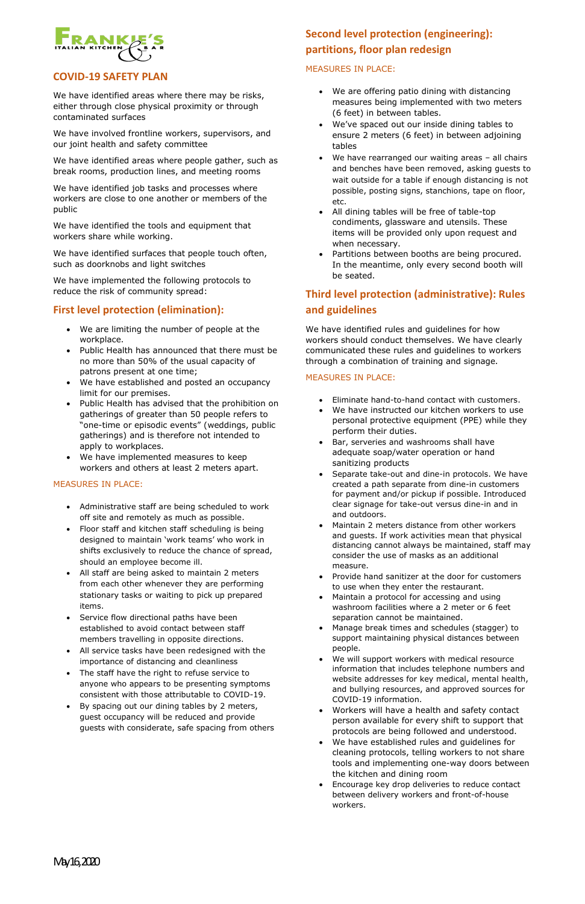May 16, 2020



#### **COVID-19 SAFETY PLAN**

We have identified areas where there may be risks, either through close physical proximity or through contaminated surfaces

We have involved frontline workers, supervisors, and our joint health and safety committee

We have identified areas where people gather, such as break rooms, production lines, and meeting rooms

We have identified job tasks and processes where workers are close to one another or members of the public

We have identified the tools and equipment that workers share while working.

We have identified surfaces that people touch often, such as doorknobs and light switches

We have implemented the following protocols to reduce the risk of community spread:

#### **First level protection (elimination):**

- We are limiting the number of people at the workplace.
- Public Health has announced that there must be no more than 50% of the usual capacity of patrons present at one time;
- We have established and posted an occupancy limit for our premises.
- Public Health has advised that the prohibition on gatherings of greater than 50 people refers to "one-time or episodic events" (weddings, public gatherings) and is therefore not intended to apply to workplaces.
- We have implemented measures to keep workers and others at least 2 meters apart.

#### MEASURES IN PLACE:

- Administrative staff are being scheduled to work off site and remotely as much as possible.
- Floor staff and kitchen staff scheduling is being designed to maintain 'work teams' who work in shifts exclusively to reduce the chance of spread, should an employee become ill.
- All staff are being asked to maintain 2 meters from each other whenever they are performing stationary tasks or waiting to pick up prepared items.
- Service flow directional paths have been established to avoid contact between staff members travelling in opposite directions.
- All service tasks have been redesigned with the importance of distancing and cleanliness

## **Second level protection (engineering): partitions, floor plan redesign**

#### MEASURES IN PLACE:

- We are offering patio dining with distancing measures being implemented with two meters (6 feet) in between tables.
- We've spaced out our inside dining tables to ensure 2 meters (6 feet) in between adjoining tables
- We have rearranged our waiting areas all chairs and benches have been removed, asking guests to wait outside for a table if enough distancing is not possible, posting signs, stanchions, tape on floor, etc.
- All dining tables will be free of table-top condiments, glassware and utensils. These items will be provided only upon request and when necessary.
- Partitions between booths are being procured. In the meantime, only every second booth will be seated.

- Eliminate hand-to-hand contact with customers.
- We have instructed our kitchen workers to use personal protective equipment (PPE) while they perform their duties.
- Bar, serveries and washrooms shall have adequate soap/water operation or hand sanitizing products
- Separate take-out and dine-in protocols. We have created a path separate from dine-in customers for payment and/or pickup if possible. Introduced clear signage for take-out versus dine-in and in and outdoors.
- Maintain 2 meters distance from other workers and guests. If work activities mean that physical distancing cannot always be maintained, staff may consider the use of masks as an additional measure.
- Provide hand sanitizer at the door for customers to use when they enter the restaurant.
- Maintain a protocol for accessing and using washroom facilities where a 2 meter or 6 feet separation cannot be maintained.
- Manage break times and schedules (stagger) to support maintaining physical distances between people.
- We will support workers with medical resource
- 
- The staff have the right to refuse service to anyone who appears to be presenting symptoms consistent with those attributable to COVID-19.
- By spacing out our dining tables by 2 meters, guest occupancy will be reduced and provide guests with considerate, safe spacing from others

# **Third level protection (administrative): Rules and guidelines**

We have identified rules and guidelines for how workers should conduct themselves. We have clearly communicated these rules and guidelines to workers through a combination of training and signage.

#### MEASURES IN PLACE:

information that includes telephone numbers and website addresses for key medical, mental health, and bullying resources, and approved sources for COVID-19 information.

- Workers will have a health and safety contact person available for every shift to support that protocols are being followed and understood.
- We have established rules and guidelines for cleaning protocols, telling workers to not share tools and implementing one-way doors between the kitchen and dining room
- Encourage key drop deliveries to reduce contact between delivery workers and front-of-house workers.